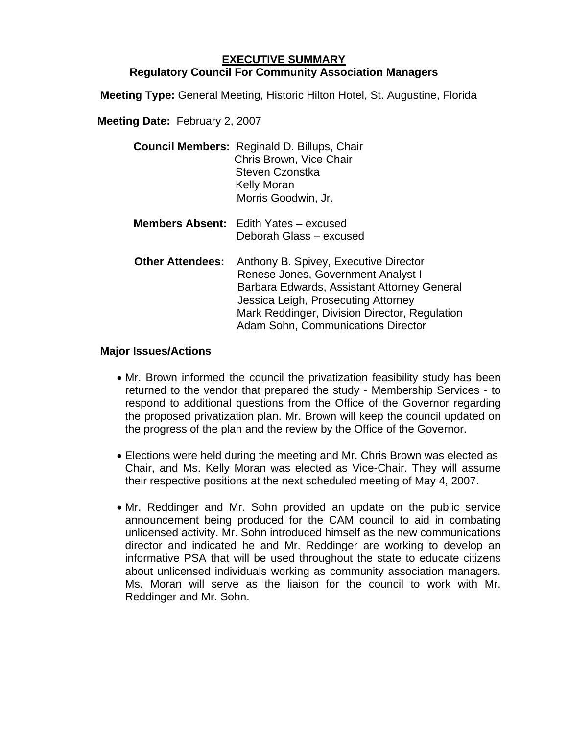## **EXECUTIVE SUMMARY Regulatory Council For Community Association Managers**

**Meeting Type:** General Meeting, Historic Hilton Hotel, St. Augustine, Florida

**Meeting Date:** February 2, 2007

| <b>Council Members: Reginald D. Billups, Chair</b> |
|----------------------------------------------------|
| Chris Brown, Vice Chair                            |
| Steven Czonstka                                    |
| <b>Kelly Moran</b>                                 |
| Morris Goodwin, Jr.                                |
|                                                    |

- **Members Absent:** Edith Yates excused Deborah Glass – excused
- **Other Attendees:** Anthony B. Spivey, Executive Director Renese Jones, Government Analyst I Barbara Edwards, Assistant Attorney General Jessica Leigh, Prosecuting Attorney Mark Reddinger, Division Director, Regulation Adam Sohn, Communications Director

## **Major Issues/Actions**

- Mr. Brown informed the council the privatization feasibility study has been returned to the vendor that prepared the study - Membership Services - to respond to additional questions from the Office of the Governor regarding the proposed privatization plan. Mr. Brown will keep the council updated on the progress of the plan and the review by the Office of the Governor.
- Elections were held during the meeting and Mr. Chris Brown was elected as Chair, and Ms. Kelly Moran was elected as Vice-Chair. They will assume their respective positions at the next scheduled meeting of May 4, 2007.
- Mr. Reddinger and Mr. Sohn provided an update on the public service announcement being produced for the CAM council to aid in combating unlicensed activity. Mr. Sohn introduced himself as the new communications director and indicated he and Mr. Reddinger are working to develop an informative PSA that will be used throughout the state to educate citizens about unlicensed individuals working as community association managers. Ms. Moran will serve as the liaison for the council to work with Mr. Reddinger and Mr. Sohn.